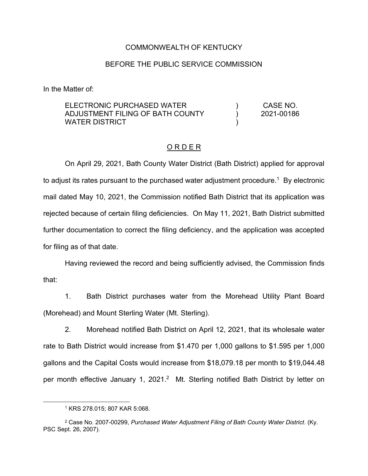#### COMMONWEALTH OF KENTUCKY

### BEFORE THE PUBLIC SERVICE COMMISSION

In the Matter of:

| ELECTRONIC PURCHASED WATER       | CASE NO.   |
|----------------------------------|------------|
| ADJUSTMENT FILING OF BATH COUNTY | 2021-00186 |
| WATER DISTRICT                   |            |

#### O R D E R

On April 29, 2021, Bath County Water District (Bath District) applied for approval to adjust its rates pursuant to the purchased water adjustment procedure.<sup>1</sup> By electronic mail dated May 10, 2021, the Commission notified Bath District that its application was rejected because of certain filing deficiencies. On May 11, 2021, Bath District submitted further documentation to correct the filing deficiency, and the application was accepted for filing as of that date.

Having reviewed the record and being sufficiently advised, the Commission finds that:

1. Bath District purchases water from the Morehead Utility Plant Board (Morehead) and Mount Sterling Water (Mt. Sterling).

2. Morehead notified Bath District on April 12, 2021, that its wholesale water rate to Bath District would increase from \$1.470 per 1,000 gallons to \$1.595 per 1,000 gallons and the Capital Costs would increase from \$18,079.18 per month to \$19,044.48 per month effective January 1, 2021.<sup>2</sup> Mt. Sterling notified Bath District by letter on

<sup>1</sup> KRS 278.015; 807 KAR 5:068.

<sup>2</sup> Case No. 2007-00299, *Purchased Water Adjustment Filing of Bath County Water District.* (Ky. PSC Sept. 26, 2007).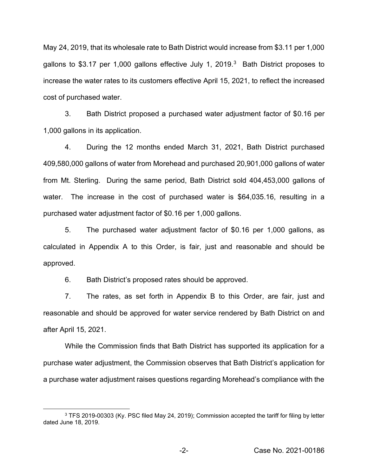May 24, 2019, that its wholesale rate to Bath District would increase from \$3.11 per 1,000 gallons to \$3.17 per 1,000 gallons effective July 1, 2019.<sup>3</sup> Bath District proposes to increase the water rates to its customers effective April 15, 2021, to reflect the increased cost of purchased water.

3. Bath District proposed a purchased water adjustment factor of \$0.16 per 1,000 gallons in its application.

4. During the 12 months ended March 31, 2021, Bath District purchased 409,580,000 gallons of water from Morehead and purchased 20,901,000 gallons of water from Mt. Sterling. During the same period, Bath District sold 404,453,000 gallons of water. The increase in the cost of purchased water is \$64,035.16, resulting in a purchased water adjustment factor of \$0.16 per 1,000 gallons.

5. The purchased water adjustment factor of \$0.16 per 1,000 gallons, as calculated in Appendix A to this Order, is fair, just and reasonable and should be approved.

6. Bath District's proposed rates should be approved.

7. The rates, as set forth in Appendix B to this Order, are fair, just and reasonable and should be approved for water service rendered by Bath District on and after April 15, 2021.

While the Commission finds that Bath District has supported its application for a purchase water adjustment, the Commission observes that Bath District's application for a purchase water adjustment raises questions regarding Morehead's compliance with the

<sup>3</sup> TFS 2019-00303 (Ky. PSC filed May 24, 2019); Commission accepted the tariff for filing by letter dated June 18, 2019.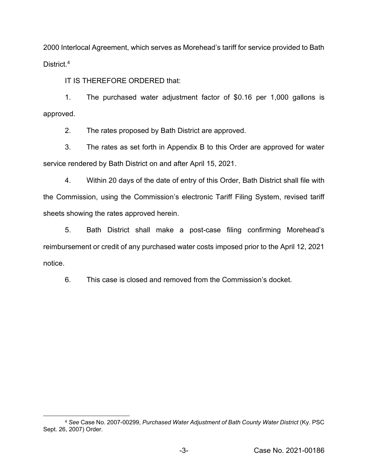2000 Interlocal Agreement, which serves as Morehead's tariff for service provided to Bath District.<sup>4</sup>

IT IS THEREFORE ORDERED that:

1. The purchased water adjustment factor of \$0.16 per 1,000 gallons is approved.

2. The rates proposed by Bath District are approved.

3. The rates as set forth in Appendix B to this Order are approved for water service rendered by Bath District on and after April 15, 2021.

4. Within 20 days of the date of entry of this Order, Bath District shall file with the Commission, using the Commission's electronic Tariff Filing System, revised tariff sheets showing the rates approved herein.

5. Bath District shall make a post-case filing confirming Morehead's reimbursement or credit of any purchased water costs imposed prior to the April 12, 2021 notice.

6. This case is closed and removed from the Commission's docket.

<sup>4</sup> *See* Case No. 2007-00299, *Purchased Water Adjustment of Bath County Water District* (Ky. PSC Sept. 26, 2007) Order.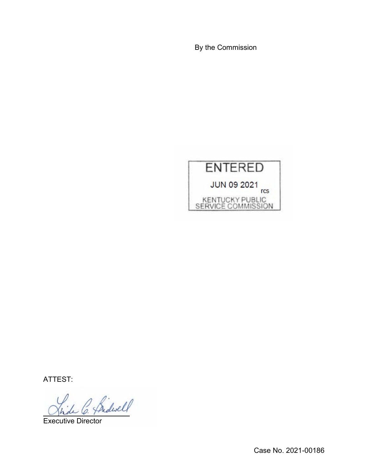By the Commission



ATTEST:

Bidwell

Executive Director

Case No. 2021-00186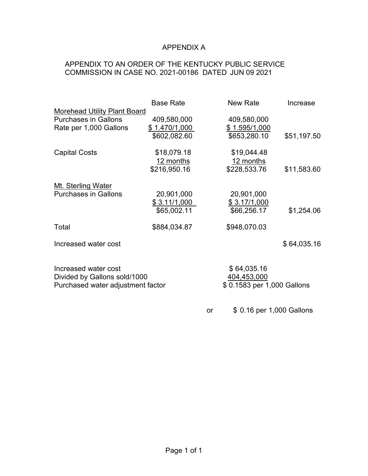# APPENDIX A

# APPENDIX TO AN ORDER OF THE KENTUCKY PUBLIC SERVICE COMMISSION IN CASE NO. 2021-00186 DATED JUN 09 2021

|                                                   | <b>Base Rate</b> |           | <b>New Rate</b>            | Increase    |
|---------------------------------------------------|------------------|-----------|----------------------------|-------------|
| <b>Morehead Utility Plant Board</b>               |                  |           |                            |             |
| <b>Purchases in Gallons</b>                       | 409,580,000      |           | 409,580,000                |             |
| Rate per 1,000 Gallons                            | \$1.470/1,000    |           | \$1.595/1,000              |             |
|                                                   | \$602,082.60     |           | \$653,280.10               | \$51,197.50 |
|                                                   |                  |           |                            |             |
| <b>Capital Costs</b>                              | \$18,079.18      |           | \$19,044.48                |             |
|                                                   | 12 months        |           | 12 months                  |             |
|                                                   | \$216,950.16     |           | \$228,533.76               | \$11,583.60 |
|                                                   |                  |           |                            |             |
| Mt. Sterling Water<br><b>Purchases in Gallons</b> | 20,901,000       |           | 20,901,000                 |             |
|                                                   |                  |           |                            |             |
|                                                   | \$3.11/1,000     |           | \$ 3.17/1,000              |             |
|                                                   | \$65,002.11      |           | \$66,256.17                | \$1,254.06  |
| Total                                             | \$884,034.87     |           | \$948,070.03               |             |
| Increased water cost                              |                  |           |                            | \$64,035.16 |
|                                                   |                  |           |                            |             |
|                                                   |                  |           |                            |             |
| Increased water cost                              |                  |           | \$64,035.16                |             |
| Divided by Gallons sold/1000                      |                  |           | 404,453,000                |             |
| Purchased water adjustment factor                 |                  |           | \$0.1583 per 1,000 Gallons |             |
|                                                   |                  |           |                            |             |
|                                                   |                  | <b>or</b> | \$ 0.16 per 1,000 Gallons  |             |
|                                                   |                  |           |                            |             |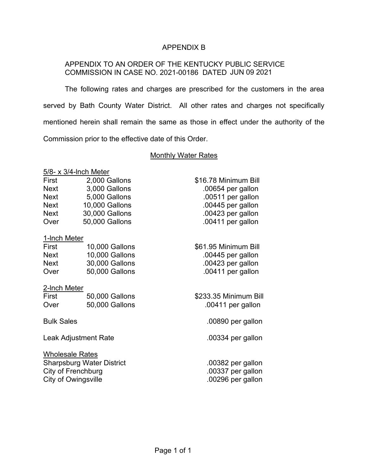## APPENDIX B

## APPENDIX TO AN ORDER OF THE KENTUCKY PUBLIC SERVICE COMMISSION IN CASE NO. 2021-00186 DATED JUN 09 2021

The following rates and charges are prescribed for the customers in the area served by Bath County Water District. All other rates and charges not specifically mentioned herein shall remain the same as those in effect under the authority of the Commission prior to the effective date of this Order.

### Monthly Water Rates

5/8- x 3/4-lnch Meter

| First       | 2,000 Gallons  | \$16.78 Minimum Bill |
|-------------|----------------|----------------------|
| <b>Next</b> | 3,000 Gallons  | .00654 per gallon    |
| <b>Next</b> | 5,000 Gallons  | .00511 per gallon    |
| <b>Next</b> | 10,000 Gallons | .00445 per gallon    |
| <b>Next</b> | 30,000 Gallons | .00423 per gallon    |
| Over        | 50,000 Gallons | .00411 per gallon    |

## 1-lnch Meter

| First | 10,000 Gallons |
|-------|----------------|
| Next  | 10,000 Gallons |
| Next  | 30,000 Gallons |
| Over  | 50,000 Gallons |

## 2-lnch Meter

| First | 50,000 Gallons |
|-------|----------------|
| Over  | 50,000 Gallons |

Leak Adjustment Rate ... and 200334 per gallon

Wholesale Rates Sharpsburg Water District .00382 per gallon City of Frenchburg ... City of Frenchburg ... The state of the state of the state of the state of the state of the state of the state of the state of the state of the state of the state of the state of the state of the sta City of Owingsville **...** 200296 per gallon

| 316.78 Minimum Bill |
|---------------------|
| .00654 per gallon   |
| .00511 per gallon   |
| .00445 per gallon   |
| .00423 per gallon   |
| .00411 per gallon   |

\$61.95 Minimum Bill  $.00445$  per gallon  $.00423$  per gallon .00411 per gallon

\$233.35 Minimum Bill .00411 per gallon

Bulk Sales .00890 per gallon